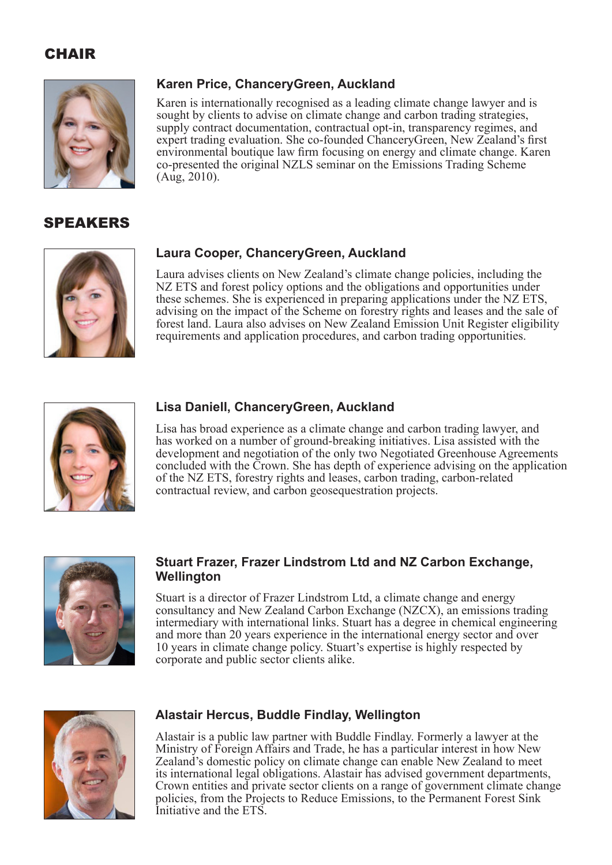### **CHAIR**



### SPEAKERS



# **Karen Price, ChanceryGreen, Auckland**

Karen is internationally recognised as a leading climate change lawyer and is sought by clients to advise on climate change and carbon trading strategies, supply contract documentation, contractual opt-in, transparency regimes, and expert trading evaluation. She co-founded ChanceryGreen, New Zealand's first environmental boutique law firm focusing on energy and climate change. Karen co-presented the original NZLS seminar on the Emissions Trading Scheme (Aug, 2010).

#### **Laura Cooper, ChanceryGreen, Auckland**

Laura advises clients on New Zealand's climate change policies, including the NZ ETS and forest policy options and the obligations and opportunities under these schemes. She is experienced in preparing applications under the NZ ETS, advising on the impact of the Scheme on forestry rights and leases and the sale of forest land. Laura also advises on New Zealand Emission Unit Register eligibility requirements and application procedures, and carbon trading opportunities.



#### **Lisa Daniell, ChanceryGreen, Auckland**

Lisa has broad experience as a climate change and carbon trading lawyer, and has worked on a number of ground-breaking initiatives. Lisa assisted with the development and negotiation of the only two Negotiated Greenhouse Agreements concluded with the Crown. She has depth of experience advising on the application of the NZ ETS, forestry rights and leases, carbon trading, carbon-related contractual review, and carbon geosequestration projects.



#### **Stuart Frazer, Frazer Lindstrom Ltd and NZ Carbon Exchange, Wellington**

Stuart is a director of Frazer Lindstrom Ltd, a climate change and energy consultancy and New Zealand Carbon Exchange (NZCX), an emissions trading intermediary with international links. Stuart has a degree in chemical engineering and more than 20 years experience in the international energy sector and over 10 years in climate change policy. Stuart's expertise is highly respected by corporate and public sector clients alike.



#### **Alastair Hercus, Buddle Findlay, Wellington**

Alastair is a public law partner with Buddle Findlay. Formerly a lawyer at the Ministry of Foreign Affairs and Trade, he has a particular interest in how New Zealand's domestic policy on climate change can enable New Zealand to meet its international legal obligations. Alastair has advised government departments, Crown entities and private sector clients on a range of government climate change policies, from the Projects to Reduce Emissions, to the Permanent Forest Sink Initiative and the ETS.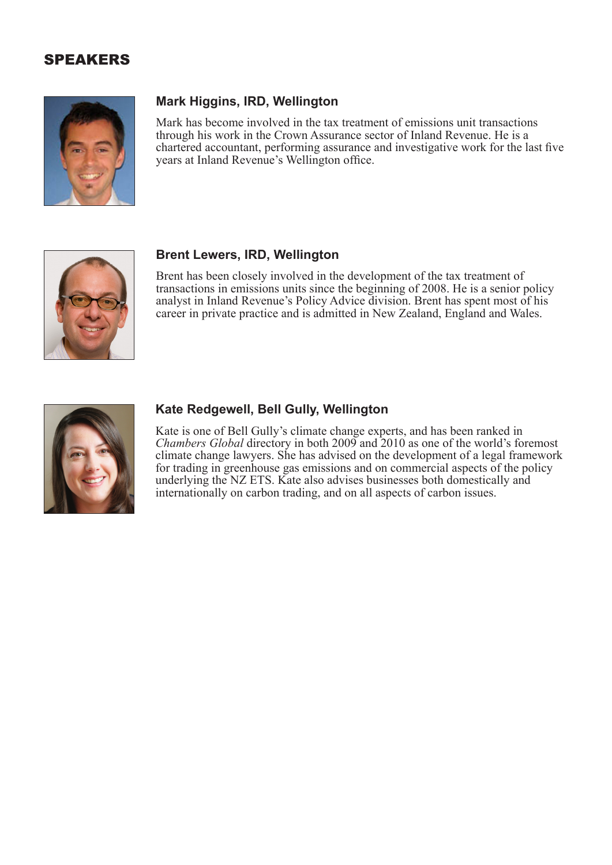### SPEAKERS



#### **Mark Higgins, IRD, Wellington**

Mark has become involved in the tax treatment of emissions unit transactions through his work in the Crown Assurance sector of Inland Revenue. He is a chartered accountant, performing assurance and investigative work for the last five years at Inland Revenue's Wellington office.



#### **Brent Lewers, IRD, Wellington**

Brent has been closely involved in the development of the tax treatment of transactions in emissions units since the beginning of 2008. He is a senior policy analyst in Inland Revenue's Policy Advice division. Brent has spent most of his career in private practice and is admitted in New Zealand, England and Wales.



#### **Kate Redgewell, Bell Gully, Wellington**

Kate is one of Bell Gully's climate change experts, and has been ranked in *Chambers Global* directory in both 2009 and 2010 as one of the world's foremost climate change lawyers. She has advised on the development of a legal framework for trading in greenhouse gas emissions and on commercial aspects of the policy underlying the NZ ETS. Kate also advises businesses both domestically and internationally on carbon trading, and on all aspects of carbon issues.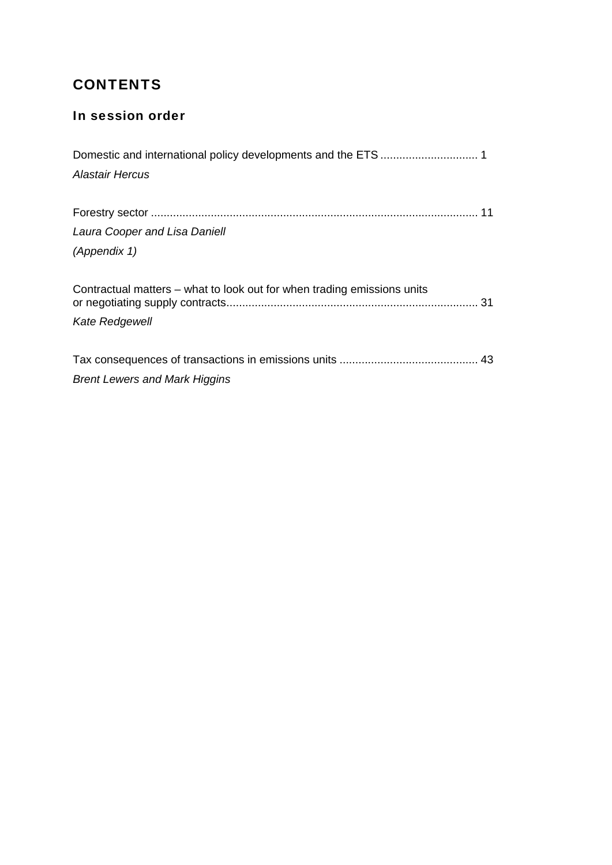# **CONTENTS**

## In session order

| <b>Alastair Hercus</b>                                                  |  |
|-------------------------------------------------------------------------|--|
|                                                                         |  |
|                                                                         |  |
| Laura Cooper and Lisa Daniell                                           |  |
| (Appendix 1)                                                            |  |
|                                                                         |  |
| Contractual matters - what to look out for when trading emissions units |  |
| Kate Redgewell                                                          |  |
|                                                                         |  |
|                                                                         |  |
| <b>Brent Lewers and Mark Higgins</b>                                    |  |